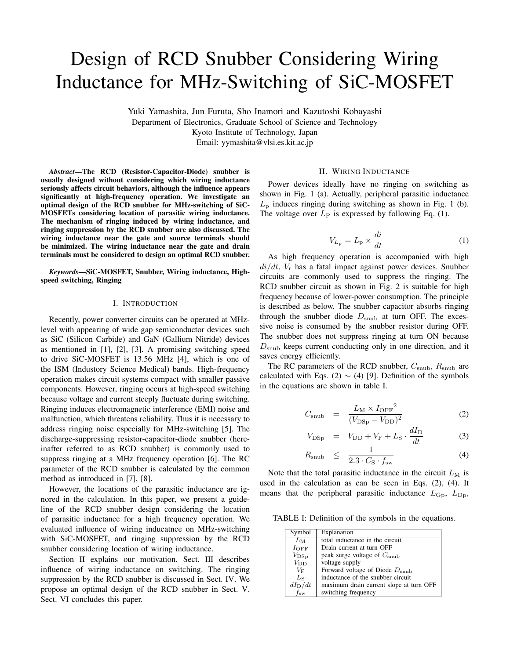# Design of RCD Snubber Considering Wiring Inductance for MHz-Switching of SiC-MOSFET

Yuki Yamashita, Jun Furuta, Sho Inamori and Kazutoshi Kobayashi Department of Electronics, Graduate School of Science and Technology Kyoto Institute of Technology, Japan Email: yymashita@vlsi.es.kit.ac.jp

*Abstract*—The RCD (Resistor-Capacitor-Diode) snubber is usually designed without considering which wiring inductance seriously affects circuit behaviors, although the influence appears significantly at high-frequency operation. We investigate an optimal design of the RCD snubber for MHz-switching of SiC-MOSFETs considering location of parasitic wiring inductance. The mechanism of ringing induced by wiring inductance, and ringing suppression by the RCD snubber are also discussed. The wiring inductance near the gate and source terminals should be minimized. The wiring inductance near the gate and drain terminals must be considered to design an optimal RCD snubber.

*Keywords*—SiC-MOSFET, Snubber, Wiring inductance, Highspeed switching, Ringing

## I. INTRODUCTION

Recently, power converter circuits can be operated at MHzlevel with appearing of wide gap semiconductor devices such as SiC (Silicon Carbide) and GaN (Gallium Nitride) devices as mentioned in [1], [2], [3]. A promising switching speed to drive SiC-MOSFET is 13.56 MHz [4], which is one of the ISM (Industory Science Medical) bands. High-frequency operation makes circuit systems compact with smaller passive components. However, ringing occurs at high-speed switching because voltage and current steeply fluctuate during switching. Ringing induces electromagnetic interference (EMI) noise and malfunction, which threatens reliability. Thus it is necessary to address ringing noise especially for MHz-switching [5]. The discharge-suppressing resistor-capacitor-diode snubber (hereinafter referred to as RCD snubber) is commonly used to suppress ringing at a MHz frequency operation [6]. The RC parameter of the RCD snubber is calculated by the common method as introduced in [7], [8].

However, the locations of the parasitic inductance are ignored in the calculation. In this paper, we present a guideline of the RCD snubber design considering the location of parasitic inductance for a high frequency operation. We evaluated influence of wiring inducatnce on MHz-switching with SiC-MOSFET, and ringing suppression by the RCD snubber considering location of wiring inductance.

Section II explains our motivation. Sect. III describes influence of wiring inductance on switching. The ringing suppression by the RCD snubber is discussed in Sect. IV. We propose an optimal design of the RCD snubber in Sect. V. Sect. VI concludes this paper.

# II. WIRING INDUCTANCE

Power devices ideally have no ringing on switching as shown in Fig. 1 (a). Actually, peripheral parasitic inductance  $L<sub>p</sub>$  induces ringing during switching as shown in Fig. 1 (b). The voltage over  $L_P$  is expressed by following Eq. (1).

$$
V_{L_{\rm p}} = L_{\rm p} \times \frac{di}{dt} \tag{1}
$$

As high frequency operation is accompanied with high *di/dt*, *V*<sup>r</sup> has a fatal impact against power devices. Snubber circuits are commonly used to suppress the ringing. The RCD snubber circuit as shown in Fig. 2 is suitable for high frequency because of lower-power consumption. The principle is described as below. The snubber capacitor absorbs ringing through the snubber diode  $D_{\text{sub}}$  at turn OFF. The excessive noise is consumed by the snubber resistor during OFF. The snubber does not suppress ringing at turn ON because *D*snub keeps current conducting only in one direction, and it saves energy efficiently.

The RC parameters of the RCD snubber,  $C_{\text{sub}}$ ,  $R_{\text{sub}}$  are calculated with Eqs. (2)  $\sim$  (4) [9]. Definition of the symbols in the equations are shown in table I.

$$
C_{\rm snub} = \frac{L_{\rm M} \times I_{\rm OFF}^2}{(V_{\rm DSp} - V_{\rm DD})^2}
$$
 (2)

$$
V_{\rm DSp} = V_{\rm DD} + V_{\rm F} + L_{\rm S} \cdot \frac{dI_{\rm D}}{dt} \tag{3}
$$

$$
R_{\text{sub}} \leq \frac{1}{2.3 \cdot C_{\text{S}} \cdot f_{\text{sw}}} \tag{4}
$$

Note that the total parasitic inductance in the circuit  $L_M$  is used in the calculation as can be seen in Eqs. (2), (4). It means that the peripheral parasitic inductance  $L_{\text{Gp}}$ ,  $L_{\text{Dp}}$ ,

TABLE I: Definition of the symbols in the equations.

| Symbol          | Explanation                               |
|-----------------|-------------------------------------------|
| $L_M$           | total inductance in the circuit           |
| $I_{\rm OFF}$   | Drain current at turn OFF                 |
| $V_{\rm{DSp}}$  | peak surge voltage of $C_{\text{snub}}$   |
| $V_{\rm DD}$    | voltage supply                            |
| $V_{\rm F}$     | Forward voltage of Diode $D_{\text{sub}}$ |
| $L_{\rm S}$     | inductance of the snubber circuit         |
| $dI_{\rm D}/dt$ | maximum drain current slope at turn OFF   |
| $f_{\rm sw}$    | switching frequency                       |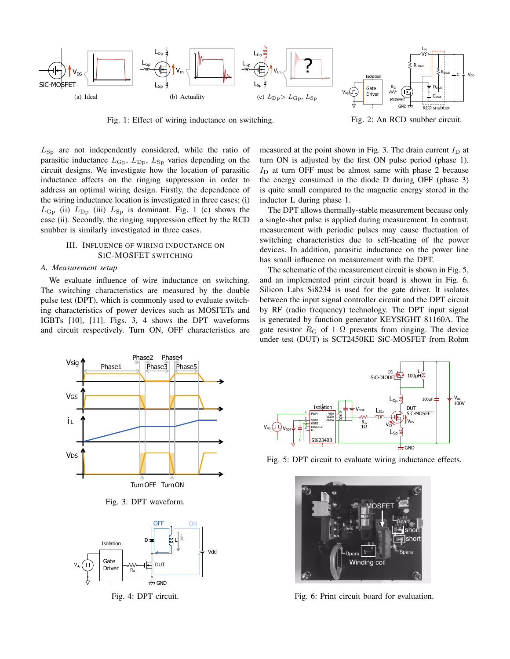

Fig. 1: Effect of wiring inductance on switching.

Fig. 2: An RCD snubber circuit.

*L*Sp are not independently considered, while the ratio of parasitic inductance  $L_{\text{Gp}}$ ,  $L_{\text{Dp}}$ ,  $L_{\text{Sp}}$  varies depending on the circuit designs. We investigate how the location of parasitic inductance affects on the ringing suppression in order to address an optimal wiring design. Firstly, the dependence of the wiring inductance location is investigated in three cases; (i)  $L_{\text{Gp}}$  (ii)  $L_{\text{Dp}}$  (iii)  $L_{\text{Sp}}$  is dominant. Fig. 1 (c) shows the case (ii). Secondly, the ringing suppression effect by the RCD snubber is similarly investigated in three cases.

# III. INFLUENCE OF WIRING INDUCTANCE ON SIC-MOSFET SWITCHING

## *A. Measurement setup*

We evaluate influence of wire inductance on switching. The switching characteristics are measured by the double pulse test (DPT), which is commonly used to evaluate switching characteristics of power devices such as MOSFETs and IGBTs [10], [11]. Figs. 3, 4 shows the DPT waveforms and circuit respectively. Turn ON, OFF characteristics are measured at the point shown in Fig. 3. The drain current  $I_D$  at turn ON is adjusted by the first ON pulse period (phase 1).  $I_D$  at turn OFF must be almost same with phase 2 because the energy consumed in the diode D during OFF (phase 3) is quite small compared to the magnetic energy stored in the inductor L during phase 1.

The DPT allows thermally-stable measurement because only a single-shot pulse is applied during measurement. In contrast, measurement with periodic pulses may cause fluctuation of switching characteristics due to self-heating of the power devices. In addition, parasitic inductance on the power line has small influence on measurement with the DPT.

The schematic of the measurement circuit is shown in Fig. 5, and an implemented print circuit board is shown in Fig. 6. Silicon Labs Si8234 is used for the gate driver. It isolates between the input signal controller circuit and the DPT circuit by RF (radio frequency) technology. The DPT input signal is generated by function generator KEYSIGHT 81160A. The gate resistor  $R_G$  of 1  $\Omega$  prevents from ringing. The device under test (DUT) is SCT2450KE SiC-MOSFET from Rohm



Fig. 3: DPT waveform.



Fig. 4: DPT circuit.



Fig. 5: DPT circuit to evaluate wiring inductance effects.



Fig. 6: Print circuit board for evaluation.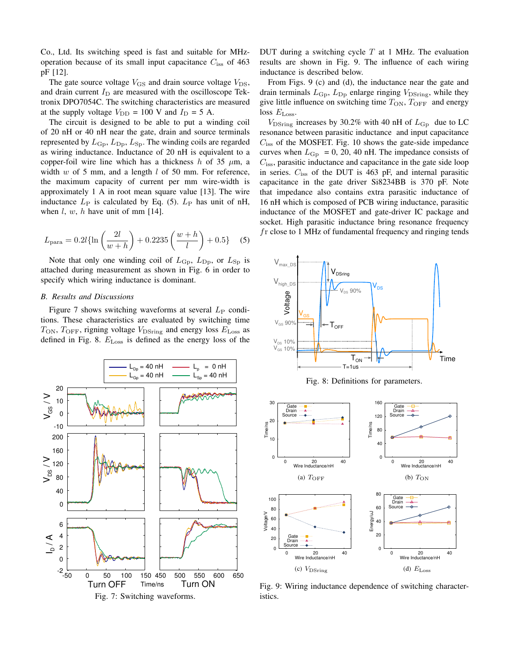Co., Ltd. Its switching speed is fast and suitable for MHzoperation because of its small input capacitance *C*iss of 463 pF [12].

The gate source voltage  $V_{\text{GS}}$  and drain source voltage  $V_{\text{DS}}$ , and drain current  $I_D$  are measured with the oscilloscope Tektronix DPO7054C. The switching characteristics are measured at the supply voltage  $V_{\text{DD}} = 100 \text{ V}$  and  $I_{\text{D}} = 5 \text{ A}$ .

The circuit is designed to be able to put a winding coil of 20 nH or 40 nH near the gate, drain and source terminals represented by  $L_{\rm Gp}$ ,  $L_{\rm Dp}$ ,  $L_{\rm Sp}$ . The winding coils are regarded as wiring inductance. Inductance of 20 nH is equivalent to a copper-foil wire line which has a thickness  $h$  of 35  $\mu$ m, a width *w* of 5 mm, and a length *l* of 50 mm. For reference, the maximum capacity of current per mm wire-width is approximately 1 A in root mean square value [13]. The wire inductance  $L_P$  is calculated by Eq. (5).  $L_P$  has unit of nH, when *l*, *w*, *h* have unit of mm [14].

$$
L_{\text{para}} = 0.2l \{\ln\left(\frac{2l}{w+h}\right) + 0.2235\left(\frac{w+h}{l}\right) + 0.5\} \quad (5)
$$

Note that only one winding coil of  $L_{\text{Gp}}$ ,  $L_{\text{Dp}}$ , or  $L_{\text{Sp}}$  is attached during measurement as shown in Fig. 6 in order to specify which wiring inductance is dominant.

# *B. Results and Discussions*

Figure 7 shows switching waveforms at several  $L_P$  conditions. These characteristics are evaluated by switching time  $T_{\text{ON}}$ ,  $T_{\text{OFF}}$ , rigning voltage  $V_{\text{DSring}}$  and energy loss  $E_{\text{Loss}}$  as defined in Fig. 8. *E*Loss is defined as the energy loss of the



DUT during a switching cycle *T* at 1 MHz. The evaluation results are shown in Fig. 9. The influence of each wiring inductance is described below.

From Figs. 9 (c) and (d), the inductance near the gate and drain terminals  $L_{\text{Gp}}$ ,  $L_{\text{Dp}}$  enlarge ringing  $V_{\text{DSring}}$ , while they give little influence on switching time  $T_{ON}$ ,  $T_{OFF}$  and energy loss *E*Loss.

 $V_{\text{DSring}}$  increases by 30.2% with 40 nH of  $L_{\text{Gp}}$  due to LC resonance between parasitic inductance and input capacitance  $C_{\text{iss}}$  of the MOSFET. Fig. 10 shows the gate-side impedance curves when  $L_{\text{Gp}} = 0$ , 20, 40 nH. The impedance consists of *C*iss, parasitic inductance and capacitance in the gate side loop in series. *C*iss of the DUT is 463 pF, and internal parasitic capacitance in the gate driver Si8234BB is 370 pF. Note that impedance also contains extra parasitic inductance of 16 nH which is composed of PCB wiring inductance, parasitic inductance of the MOSFET and gate-driver IC package and socket. High parasitic inductance bring resonance frequency *f*r close to 1 MHz of fundamental frequency and ringing tends



Fig. 8: Definitions for parameters.



Fig. 9: Wiring inductance dependence of switching characteristics.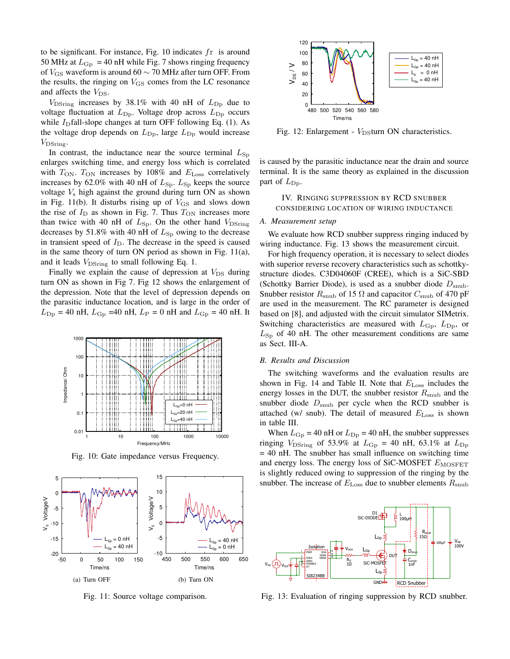to be significant. For instance, Fig. 10 indicates *f*r is around 50 MHz at  $L_{\rm Gp}$  = 40 nH while Fig. 7 shows ringing frequency of *V*GS waveform is around 60 *∼* 70 MHz after turn OFF. From the results, the ringing on  $V_{\text{GS}}$  comes from the LC resonance and affects the  $V_{DS}$ .

 $V_{\text{DSring}}$  increases by 38.1% with 40 nH of  $L_{\text{Dp}}$  due to voltage fluctuation at  $L_{\text{Dp}}$ . Voltage drop across  $L_{\text{Dp}}$  occurs while  $I<sub>D</sub>$ fall-slope changes at turn OFF following Eq. (1). As the voltage drop depends on  $L_{\text{Dp}}$ , large  $L_{\text{Dp}}$  would increase *V*DSring.

In contrast, the inductance near the source terminal  $L_{\text{Sp}}$ enlarges switching time, and energy loss which is correlated with  $T_{\text{ON}}$ .  $T_{\text{ON}}$  increases by 108% and  $E_{\text{Loss}}$  correlatively increases by 62.0% with 40 nH of  $L_{\text{Sp}}$ .  $L_{\text{Sp}}$  keeps the source voltage *V*<sup>s</sup> high against the ground during turn ON as shown in Fig. 11(b). It disturbs rising up of  $V_{\text{GS}}$  and slows down the rise of  $I_D$  as shown in Fig. 7. Thus  $T_{ON}$  increases more than twice with 40 nH of  $L_{\text{Sp}}$ . On the other hand  $V_{\text{DSring}}$ decreases by 51.8% with 40 nH of  $L_{\text{Sp}}$  owing to the decrease in transient speed of  $I_D$ . The decrease in the speed is caused in the same theory of turn ON period as shown in Fig. 11(a), and it leads  $V_{\text{DSring}}$  to small following Eq. 1.

Finally we explain the cause of depression at  $V_{DS}$  during turn ON as shown in Fig 7. Fig 12 shows the enlargement of the depression. Note that the level of depression depends on the parasitic inductance location, and is large in the order of  $L_{\text{Dp}} = 40 \text{ nH}, L_{\text{Gp}} = 40 \text{ nH}, L_{\text{P}} = 0 \text{ nH} \text{ and } L_{\text{Gp}} = 40 \text{ nH}.$  It



Fig. 10: Gate impedance versus Frequency.



Fig. 11: Source voltage comparison.



Fig. 12: Enlargement - *V*<sub>DS</sub>turn ON characteristics.

is caused by the parasitic inductance near the drain and source terminal. It is the same theory as explained in the discussion part of  $L_{\text{Dp}}$ .

IV. RINGING SUPPRESSION BY RCD SNUBBER CONSIDERING LOCATION OF WIRING INDUCTANCE

#### *A. Measurement setup*

We evaluate how RCD snubber suppress ringing induced by wiring inductance. Fig. 13 shows the measurement circuit.

For high frequency operation, it is necessary to select diodes with superior reverse recovery characteristics such as schottkystructure diodes. C3D04060F (CREE), which is a SiC-SBD (Schottky Barrier Diode), is used as a snubber diode  $D<sub>snub</sub>$ . Snubber resistor  $R_{\text{sub}}$  of 15  $\Omega$  and capacitor  $C_{\text{sub}}$  of 470 pF are used in the measurement. The RC parameter is designed based on [8], and adjusted with the circuit simulator SIMetrix. Switching characteristics are measured with  $L_{\text{Gp}}$ ,  $L_{\text{Dp}}$ , or  $L_{\rm Sp}$  of 40 nH. The other measurement conditions are same as Sect. III-A.

# *B. Results and Discussion*

The switching waveforms and the evaluation results are shown in Fig. 14 and Table II. Note that *E*Loss includes the energy losses in the DUT, the snubber resistor  $R_{\text{sub}}$  and the snubber diode  $D_{\text{sub}}$  per cycle when the RCD snubber is attached (w/ snub). The detail of measured  $E_{\text{Loss}}$  is shown in table III.

When  $L_{\text{Gp}}$  = 40 nH or  $L_{\text{Dp}}$  = 40 nH, the snubber suppresses ringing  $V_{\text{DSring}}$  of 53.9% at  $L_{\text{Gp}} = 40$  nH, 63.1% at  $L_{\text{Dp}}$ = 40 nH. The snubber has small influence on switching time and energy loss. The energy loss of SiC-MOSFET  $E_{MOSFET}$ is slightly reduced owing to suppression of the ringing by the snubber. The increase of  $E_{\text{Loss}}$  due to snubber elements  $R_{\text{sub}}$ 



Fig. 13: Evaluation of ringing suppression by RCD snubber.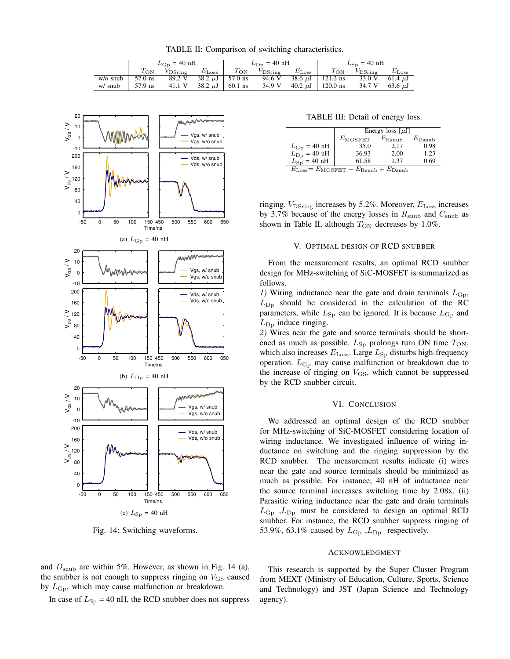TABLE II: Comparison of switching characteristics.

|                              | $L_{\rm Gp}$ = 40 nH |        |                                       | $L_{\text{Dp}} = 40 \text{ nH}$ |                                       |  | $L_{\rm Sp}$ = 40 nH                               |                     |                   |
|------------------------------|----------------------|--------|---------------------------------------|---------------------------------|---------------------------------------|--|----------------------------------------------------|---------------------|-------------------|
|                              | $T_{\rm ON}$         |        | $V_{\text{DSrine}}$ $E_{\text{Loss}}$ | $T_{\rm ON}$                    | $V_{\text{DSrine}}$ $E_{\text{Loss}}$ |  | $T_{\rm ON}$                                       | $V_{DSring}$        | $E_{\text{Loss}}$ |
| w/o snub $\parallel$ 57.0 ns |                      | 89.2 V | 38.2 $\mu$ J   57.0 ns                |                                 |                                       |  | 94.6 V 38.6 $\mu$ J   121.2 ns 33.0 V 61.4 $\mu$ J |                     |                   |
| w/ snub $\parallel$ 57.9 ns  |                      |        | 41.1 V 38.2 $\mu$ J   60.1 ns         |                                 |                                       |  | 34.9 V 40.2 $\mu$ J   120.0 ns                     | 34.7 V 63.6 $\mu$ J |                   |



Fig. 14: Switching waveforms.

and *D*snub are within 5%. However, as shown in Fig. 14 (a), the snubber is not enough to suppress ringing on  $V_{\text{GS}}$  caused by  $L_{\rm Gp}$ , which may cause malfunction or breakdown.

In case of  $L_{\text{Sp}} = 40 \text{ nH}$ , the RCD snubber does not suppress

TABLE III: Detail of energy loss.

|                                                                             | Energy loss $[\mu J]$ |                 |                    |  |  |  |
|-----------------------------------------------------------------------------|-----------------------|-----------------|--------------------|--|--|--|
|                                                                             | $E_{\text{MOSFET}}$   | $E_{\rm Rsnub}$ | $E_{\text{Dsnub}}$ |  |  |  |
| $L_{\rm Gp} = 40 \text{ nH}$                                                | 35.0                  | 2.17            | 0.98               |  |  |  |
| $L_{\text{Dp}}$ = 40 nH                                                     | 36.93                 | 2.00            | 1.23               |  |  |  |
| $L_{\rm Sp} = 40 \text{ nH}$                                                | 61.58                 | 1.37            | 0.69               |  |  |  |
| $E_{\text{Loss}} = E_{\text{MOSFET}} + E_{\text{Rsnub}} + E_{\text{Dsnub}}$ |                       |                 |                    |  |  |  |

ringing. *V*<sub>DSring</sub> increases by 5.2%. Moreover, *E*<sub>Loss</sub> increases by 3.7% because of the energy losses in *R*snub and *C*snub as shown in Table II, although  $T_{ON}$  decreases by 1.0%.

## V. OPTIMAL DESIGN OF RCD SNUBBER

From the measurement results, an optimal RCD snubber design for MHz-switching of SiC-MOSFET is summarized as follows.

*1*) Wiring inductance near the gate and drain terminals  $L_{\text{Gp}}$ ,  $L_{\text{Dp}}$  should be considered in the calculation of the RC parameters, while  $L_{\text{Sp}}$  can be ignored. It is because  $L_{\text{Gp}}$  and  $L_{\text{Dp}}$  induce ringing.

*2)* Wires near the gate and source terminals should be shortened as much as possible.  $L_{\text{Sp}}$  prolongs turn ON time  $T_{\text{ON}}$ , which also increases  $E_{\text{Loss}}$ . Large  $L_{\text{Sp}}$  disturbs high-frequency operation. L<sub>Gp</sub> may cause malfunction or breakdown due to the increase of ringing on  $V_{\text{GS}}$ , which cannot be suppressed by the RCD snubber circuit.

## VI. CONCLUSION

We addressed an optimal design of the RCD snubber for MHz-switching of SiC-MOSFET considering location of wiring inductance. We investigated influence of wiring inductance on switching and the ringing suppression by the RCD snubber. The measurement results indicate (i) wires near the gate and source terminals should be minimized as much as possible. For instance, 40 nH of inductance near the source terminal increases switching time by 2.08x. (ii) Parasitic wiring inductance near the gate and drain terminals  $L_{\rm Gp}$ ,  $L_{\rm Dp}$  must be considered to design an optimal RCD snubber. For instance, the RCD snubber suppress ringing of 53.9%, 63.1% caused by  $L_{\rm Gp}$ ,  $L_{\rm Dp}$  respectively.

## ACKNOWLEDGMENT

This research is supported by the Super Cluster Program from MEXT (Ministry of Education, Culture, Sports, Science and Technology) and JST (Japan Science and Technology agency).